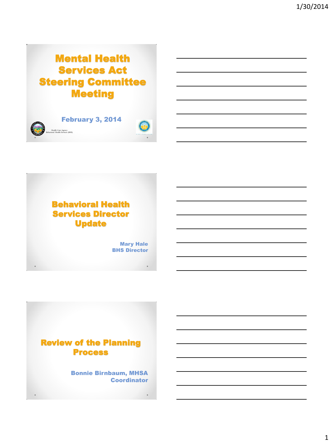# Mental Health Services Act Steering Committee Meeting





Mary Hale **BHS Director** 



Bonnie Birnbaum, MHSA **Coordinator**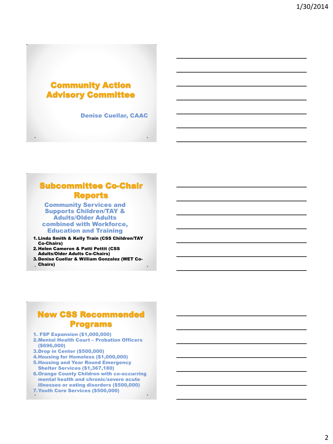### Community Action Advisory Committee

Denise Cuellar, CAAC

# Subcommittee Co-Chair Reports

Community Services and Supports Children/TAY & Adults/Older Adults combined with Workforce, Education and Training

- 1.Linda Smith & Kelly Train (CSS Children/TAY Co-Chairs)
- 2.Helen Cameron & Patti Pettit (CSS Adults/Older Adults Co-Chairs)
- 3.Denise Cuellar & William Gonzalez (WET Co-
- Chairs)

### New CSS Recommended Programs

- 1. FSP Expansion (\$1,000,000)
- 2.Mental Health Court Probation Officers (\$696,000)
- 3.Drop in Center (\$500,000)
- 4.Housing for Homeless (\$1,000,000) 5.Housing and Year Round Emergency
- Shelter Services (\$1,367,180) 6.Orange County Children with co-occurring
- mental health and chronic/severe acute illnesses or eating disorders (\$500,000) 7.Youth Core Services (\$500,000)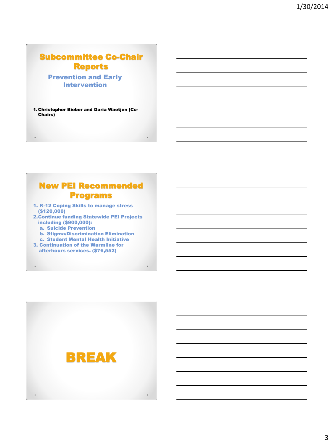# Subcommittee Co-Chair Reports

Prevention and Early Intervention

1.Christopher Bieber and Daria Waetjen (Co-Chairs)

# New PEI Recommended Programs

- 1. K-12 Coping Skills to manage stress (\$120,000)
- 2.Continue funding Statewide PEI Projects including (\$900,000):
	- a. Suicide Prevention
	- b. Stigma/Discrimination Elimination
- c. Student Mental Health Initiative 3. Continuation of the Warmline for afterhours services. (\$76,552)

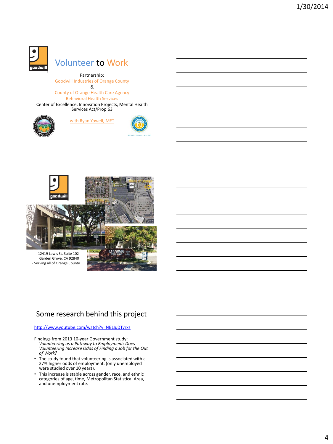

# Volunteer to Work

Partnership: Goodwill Industries of Orange County &

County of Orange Health Care Agency Behavioral Health Services

Center of Excellence, Innovation Projects, Mental Health Services Act/Prop 63



#### with Ryan Yowell, MFT





### Some research behind this project

#### <http://www.youtube.com/watch?v=NBLIuDTvrxs>

Findings from 2013 10-year Government study: *Volunteering as a Pathway to Employment: Does Volunteering Increase Odds of Finding a Job for the Out of Work?* 

- The study found that volunteering is associated with a 27% higher odds of employment. (only unemployed were studied over 10 years).
- This increase is stable across gender, race, and ethnic categories of age, time, Metropolitan Statistical Area, and unemployment rate.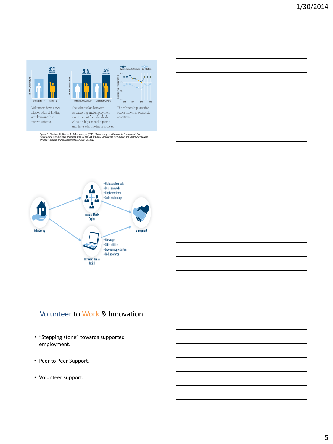

• Spera, C.; Ghertner, R., Nerino, A., DiTommaso, A. (2013). Volunteering as a Pathway to Employment: Does<br>Volunteering Increase Odds of Finding alob for the Out of Work? Corporation for National and Community Service,<br>Off



# Volunteer to Work & Innovation

- "Stepping stone" towards supported employment.
- Peer to Peer Support.
- Volunteer support.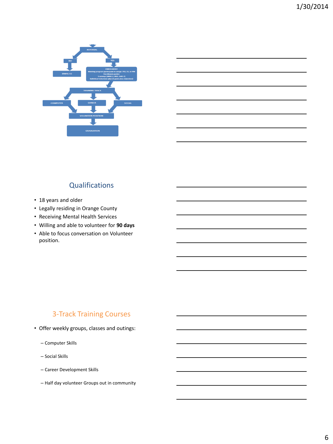

# **Qualifications**

- 18 years and older
- Legally residing in Orange County
- Receiving Mental Health Services
- Willing and able to volunteer for **90 days**
- Able to focus conversation on Volunteer position.

### 3-Track Training Courses

- Offer weekly groups, classes and outings:
	- Computer Skills
	- Social Skills
	- Career Development Skills
	- Half day volunteer Groups out in community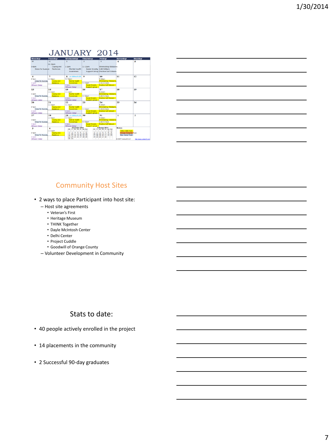### JANUARY 2014

| Monday                               | Tuesday      | Wednesday                            | Thursday                         | Friday                                        | Saturday               | Sunday                  |
|--------------------------------------|--------------|--------------------------------------|----------------------------------|-----------------------------------------------|------------------------|-------------------------|
| 30 <sub>0</sub>                      | 31           |                                      | $\overline{z}$                   | 3                                             | 4                      | 5                       |
|                                      | $11-12$ pm   |                                      |                                  |                                               |                        |                         |
| $3-40m$                              | Coping and   | $1-20$ m                             | $11-12$ pm                       | <b>Eliminating Obstacles</b>                  |                        |                         |
| <b>Dress for Success</b>             | Resilence    | <b>Mental Health</b>                 | Social Anxiety 3:30-4:40pm       |                                               |                        |                         |
|                                      |              | <b>Awareness</b>                     |                                  | Support Group Positive Self Esteem            |                        |                         |
|                                      |              |                                      |                                  |                                               |                        |                         |
| 6                                    | 7            | $R = 11 - 2$ -Beach $GM$             | $\bullet$                        | 10                                            | 11                     | 12                      |
| $3-4$ om                             | $11 - 12$ pm | $11-12$ pm                           |                                  | $0-10am$                                      |                        |                         |
| <b>Dress for Success</b>             | Coping and   | <b>Mental Health</b>                 |                                  | <b>Eliminating Obstacles</b>                  |                        |                         |
| 4.5 <sub>0</sub> m                   | Resience     | Awareness                            | 11-12pm                          | 3:30-4:40pm                                   |                        |                         |
| <b>Fitness Camp</b>                  |              | $4-Som$                              | Social Anxiety                   | Positive Self Esteem                          |                        |                         |
|                                      |              | <b>Fitness Camp</b>                  | Support group                    |                                               |                        |                         |
| 13                                   | 14           | 15                                   | 16                               | 17                                            | 18                     | 19                      |
|                                      | $11 - 12$ pm | $11 - 12$ pm                         |                                  | 0.10am                                        |                        |                         |
| $3-4$ om                             | Cooing and   | Mental Health                        |                                  | <b>Eliminating Obstacles</b>                  |                        |                         |
| <b>Dress for Success</b><br>$d$ -Som | Resilence    | Awareness<br>$4-5cm$                 | 11-12pm<br><b>Social Anxiety</b> | $3:30-4:40$ pm<br><b>Positive Self Esteem</b> |                        |                         |
| <b>Fitness Camp</b>                  |              | <b>Fitness Camp</b>                  | Support group                    |                                               |                        |                         |
| 20                                   | 21           | 22                                   | 23                               | 24                                            | 25                     | 26                      |
|                                      | $11 - 12$ pm | $11 - 12$ pm                         |                                  | $9-10am$                                      |                        |                         |
| $3-4$ om                             | Coping and   | Mental Health                        |                                  | <b>Eliminating Obstacles</b>                  |                        |                         |
| <b>Dress for Success</b>             | Resilence    | <b>Awareness</b>                     | $11 - 12$ pm                     | 3:30-4:40pm                                   |                        |                         |
| $4-50$                               |              | $4-5$ om                             | Social Anxiety                   | <b>Positive Self Esteem</b>                   |                        |                         |
| <b>Fitness Camp</b>                  |              | <b>Fitness Camp</b>                  | Support group                    |                                               |                        |                         |
| 27                                   | 28           | $20$ $11-2$ fleach $GM$              | 30                               | 31                                            | 1                      | $\overline{2}$          |
|                                      | $11 - 12$ pm | $11 - 12nm$                          |                                  | $9-10am$                                      |                        |                         |
| $3-4$ om                             | Coping and   | <b>Metrial Health</b>                |                                  | <b>Eliminating Obstacles</b>                  |                        |                         |
| Dress for Success                    | Reslence     | Awareness                            | $11 - 12$ pm                     | 3:30-4:40pm                                   |                        |                         |
| $4-5$ pm                             |              | 4.5 <sub>cm</sub>                    | Social Anxiety                   | <b>Postan Self Esteem</b>                     |                        |                         |
| <b>Fitness Camp</b>                  |              | <b>Fitness Camp</b><br>December 2013 | <b>Support group</b>             | February 2014                                 | <b>Notes:</b>          |                         |
| 3                                    | 4            | w<br>Th $F$                          | <b>Kall Kas</b><br>M.            | w<br>Th F Sa Su                               |                        |                         |
|                                      | $11-12$ pm   | z<br>к<br>и                          |                                  |                                               | Yelow: Skils Track     |                         |
| $3-4$ om<br>Dress for Success        | Coping and   | 9<br>10<br>11 12 13 14 15            | 10                               | 11 12 13 14<br>15 16                          | Orange: Computer Track |                         |
| d. Som                               | Resience     | 18 19 20 21 22<br>16<br>17           | 17                               | 18 19 20 21 22 23                             | Blue: Career Track     |                         |
| <b>Fitness Camp</b>                  |              | 24 25 26 27 28 29<br>23<br>$30 - 31$ |                                  | 24 25 26 27 28                                | 0 2007 Vertex42 LLC    | http://www.yertexx1.com |
|                                      |              |                                      |                                  |                                               |                        |                         |

| <u> 1989 - Johann Barbara, marka a shekara ta 1989 - Anna a shekara ta 1989 - Anna a tsarar 1991 - Anna a tsara</u> |  |  |  |
|---------------------------------------------------------------------------------------------------------------------|--|--|--|
| <u> 1989 - Johann Stoff, amerikansk politiker (d. 1989)</u>                                                         |  |  |  |
| and the contract of the contract of the contract of the contract of the contract of the contract of the contract of |  |  |  |
| <u> La Carlo Carlo Carlo Carlo Carlo Carlo Carlo Carlo Carlo Carlo Carlo Carlo Carlo Carlo Carlo Carlo Carlo Ca</u> |  |  |  |
|                                                                                                                     |  |  |  |

### Community Host Sites

- 2 ways to place Participant into host site:
	- Host site agreements
		- Veteran's First
		- Heritage Museum
		- THINK Together
		- Dayle McIntosh Center
		- Delhi Center
		- Project Cuddle
		- Goodwill of Orange County
	- Volunteer Development in Community

### Stats to date:

- 40 people actively enrolled in the project
- 14 placements in the community
- 2 Successful 90-day graduates